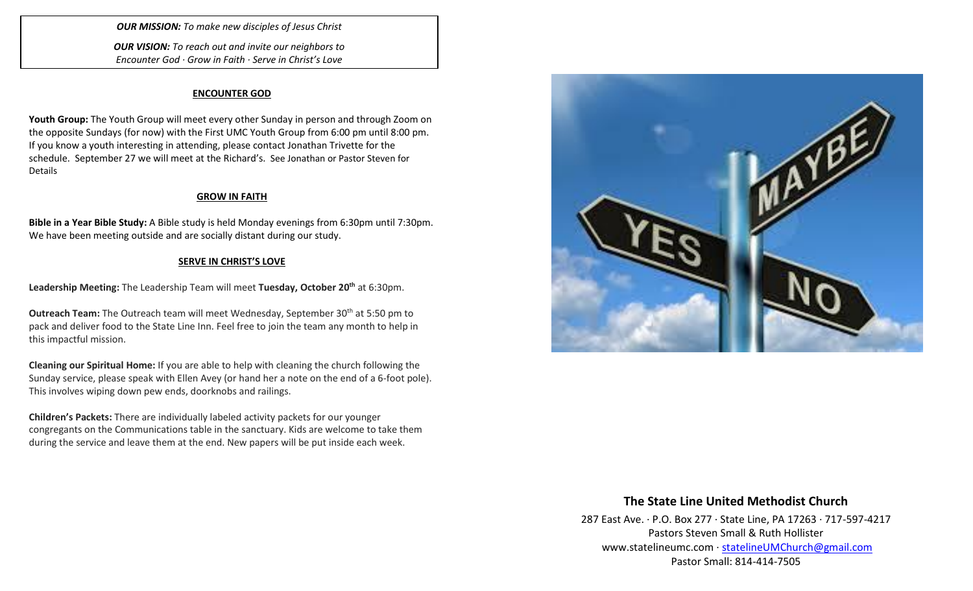*OUR MISSION: To make new disciples of Jesus Christ*

*OUR VISION: To reach out and invite our neighbors to Encounter God · Grow in Faith · Serve in Christ's Love*

### **ENCOUNTER GOD**

**Youth Group:** The Youth Group will meet every other Sunday in person and through Zoom on the opposite Sundays (for now) with the First UMC Youth Group from 6:00 pm until 8:00 pm. If you know a youth interesting in attending, please contact Jonathan Trivette for the schedule. September 27 we will meet at the Richard's. See Jonathan or Pastor Steven for Details

#### **GROW IN FAITH**

**Bible in a Year Bible Study:** A Bible study is held Monday evenings from 6:30pm until 7:30pm. We have been meeting outside and are socially distant during our study.

### **SERVE IN CHRIST'S LOVE**

**Leadership Meeting:** The Leadership Team will meet **Tuesday, October 20th** at 6:30pm.

**Outreach Team:** The Outreach team will meet Wednesday, September 30<sup>th</sup> at 5:50 pm to pack and deliver food to the State Line Inn. Feel free to join the team any month to help in this impactful mission.

**Cleaning our Spiritual Home:** If you are able to help with cleaning the church following the Sunday service, please speak with Ellen Avey (or hand her a note on the end of a 6-foot pole). This involves wiping down pew ends, doorknobs and railings.

**Children's Packets:** There are individually labeled activity packets for our younger congregants on the Communications table in the sanctuary. Kids are welcome to take them during the service and leave them at the end. New papers will be put inside each week.



## **The State Line United Methodist Church**

287 East Ave. · P.O. Box 277 · State Line, PA 17263 · 717-597-4217 Pastors Steven Small & Ruth Hollister [www.statelineumc.com](http://www.statelineumc.com/) · [statelineUMChurch@gmail.com](mailto:statelineUMChurch@gmail.com) Pastor Small: 814-414-7505